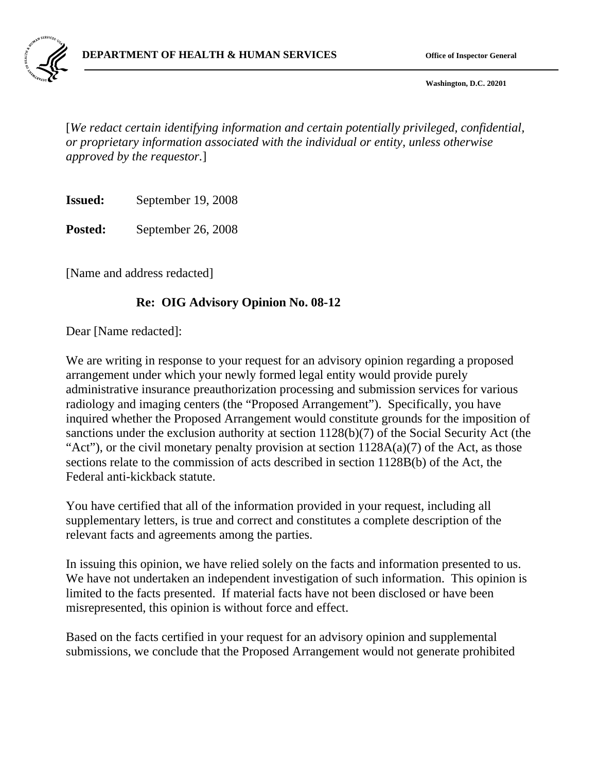

 **Washington, D.C. 20201** 

[*We redact certain identifying information and certain potentially privileged, confidential, or proprietary information associated with the individual or entity, unless otherwise approved by the requestor.*]

**Issued:** September 19, 2008

Posted: September 26, 2008

[Name and address redacted]

#### **Re: OIG Advisory Opinion No. 08-12**

Dear [Name redacted]:

We are writing in response to your request for an advisory opinion regarding a proposed arrangement under which your newly formed legal entity would provide purely administrative insurance preauthorization processing and submission services for various radiology and imaging centers (the "Proposed Arrangement"). Specifically, you have inquired whether the Proposed Arrangement would constitute grounds for the imposition of sanctions under the exclusion authority at section 1128(b)(7) of the Social Security Act (the "Act"), or the civil monetary penalty provision at section  $1128A(a)(7)$  of the Act, as those sections relate to the commission of acts described in section 1128B(b) of the Act, the Federal anti-kickback statute.

You have certified that all of the information provided in your request, including all supplementary letters, is true and correct and constitutes a complete description of the relevant facts and agreements among the parties.

In issuing this opinion, we have relied solely on the facts and information presented to us. We have not undertaken an independent investigation of such information. This opinion is limited to the facts presented. If material facts have not been disclosed or have been misrepresented, this opinion is without force and effect.

Based on the facts certified in your request for an advisory opinion and supplemental submissions, we conclude that the Proposed Arrangement would not generate prohibited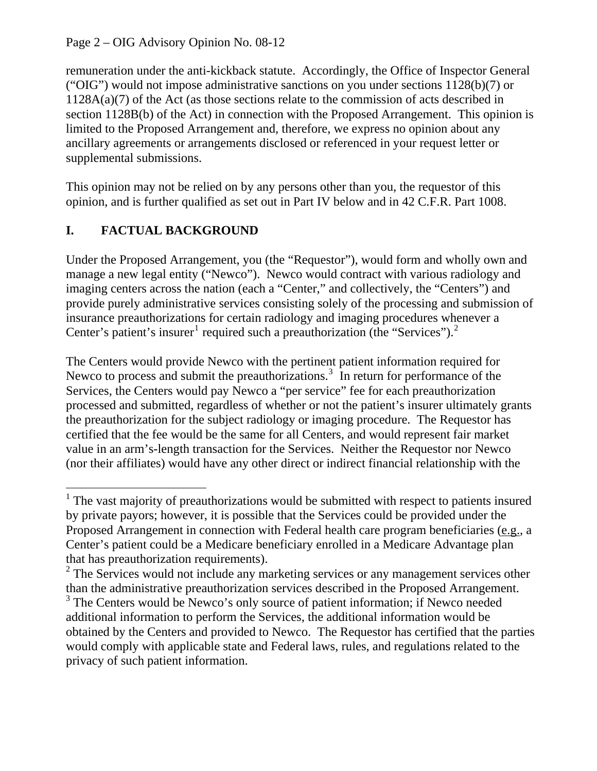Page 2 – OIG Advisory Opinion No. 08-12

remuneration under the anti-kickback statute. Accordingly, the Office of Inspector General ("OIG") would not impose administrative sanctions on you under sections 1128(b)(7) or 1128A(a)(7) of the Act (as those sections relate to the commission of acts described in section 1128B(b) of the Act) in connection with the Proposed Arrangement. This opinion is limited to the Proposed Arrangement and, therefore, we express no opinion about any ancillary agreements or arrangements disclosed or referenced in your request letter or supplemental submissions.

This opinion may not be relied on by any persons other than you, the requestor of this opinion, and is further qualified as set out in Part IV below and in 42 C.F.R. Part 1008.

# **I. FACTUAL BACKGROUND**

 $\overline{a}$ 

Under the Proposed Arrangement, you (the "Requestor"), would form and wholly own and manage a new legal entity ("Newco"). Newco would contract with various radiology and imaging centers across the nation (each a "Center," and collectively, the "Centers") and provide purely administrative services consisting solely of the processing and submission of insurance preauthorizations for certain radiology and imaging procedures whenever a Center's patient's insurer<sup>[1](#page-1-0)</sup> required such a preauthorization (the "Services").<sup>[2](#page-1-1)</sup>

The Centers would provide Newco with the pertinent patient information required for Newco to process and submit the preauthorizations.<sup>[3](#page-1-2)</sup> In return for performance of the Services, the Centers would pay Newco a "per service" fee for each preauthorization processed and submitted, regardless of whether or not the patient's insurer ultimately grants the preauthorization for the subject radiology or imaging procedure. The Requestor has certified that the fee would be the same for all Centers, and would represent fair market value in an arm's-length transaction for the Services. Neither the Requestor nor Newco (nor their affiliates) would have any other direct or indirect financial relationship with the

<span id="page-1-0"></span><sup>&</sup>lt;sup>1</sup> The vast majority of preauthorizations would be submitted with respect to patients insured by private payors; however, it is possible that the Services could be provided under the Proposed Arrangement in connection with Federal health care program beneficiaries (e.g., a Center's patient could be a Medicare beneficiary enrolled in a Medicare Advantage plan that has preauthorization requirements).

<span id="page-1-1"></span><sup>&</sup>lt;sup>2</sup> The Services would not include any marketing services or any management services other than the administrative preauthorization services described in the Proposed Arrangement.

<span id="page-1-2"></span><sup>&</sup>lt;sup>3</sup> The Centers would be Newco's only source of patient information; if Newco needed additional information to perform the Services, the additional information would be obtained by the Centers and provided to Newco. The Requestor has certified that the parties would comply with applicable state and Federal laws, rules, and regulations related to the privacy of such patient information.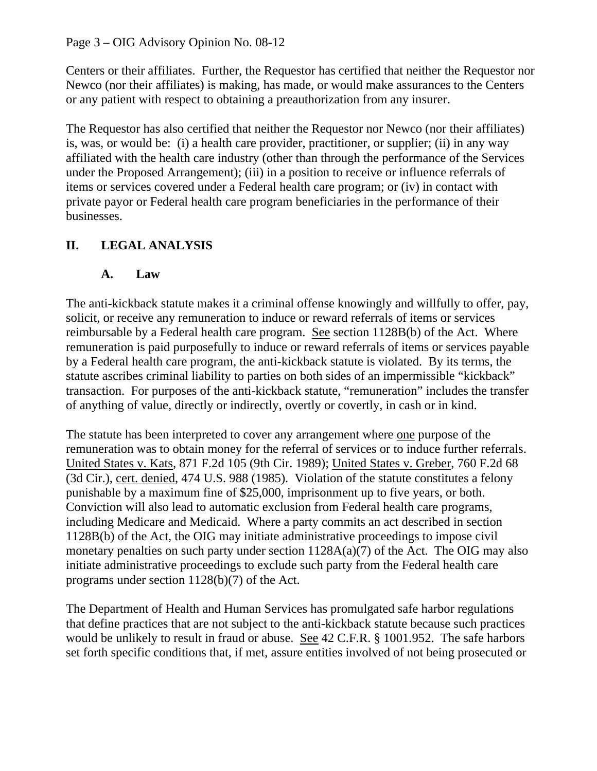Centers or their affiliates. Further, the Requestor has certified that neither the Requestor nor Newco (nor their affiliates) is making, has made, or would make assurances to the Centers or any patient with respect to obtaining a preauthorization from any insurer.

The Requestor has also certified that neither the Requestor nor Newco (nor their affiliates) is, was, or would be: (i) a health care provider, practitioner, or supplier; (ii) in any way affiliated with the health care industry (other than through the performance of the Services under the Proposed Arrangement); (iii) in a position to receive or influence referrals of items or services covered under a Federal health care program; or (iv) in contact with private payor or Federal health care program beneficiaries in the performance of their businesses.

# **II. LEGAL ANALYSIS**

## **A. Law**

The anti-kickback statute makes it a criminal offense knowingly and willfully to offer, pay, solicit, or receive any remuneration to induce or reward referrals of items or services reimbursable by a Federal health care program. See section 1128B(b) of the Act. Where remuneration is paid purposefully to induce or reward referrals of items or services payable by a Federal health care program, the anti-kickback statute is violated. By its terms, the statute ascribes criminal liability to parties on both sides of an impermissible "kickback" transaction. For purposes of the anti-kickback statute, "remuneration" includes the transfer of anything of value, directly or indirectly, overtly or covertly, in cash or in kind.

The statute has been interpreted to cover any arrangement where one purpose of the remuneration was to obtain money for the referral of services or to induce further referrals. United States v. Kats, 871 F.2d 105 (9th Cir. 1989); United States v. Greber, 760 F.2d 68 (3d Cir.), cert. denied, 474 U.S. 988 (1985). Violation of the statute constitutes a felony punishable by a maximum fine of \$25,000, imprisonment up to five years, or both. Conviction will also lead to automatic exclusion from Federal health care programs, including Medicare and Medicaid. Where a party commits an act described in section 1128B(b) of the Act, the OIG may initiate administrative proceedings to impose civil monetary penalties on such party under section  $1128A(a)(7)$  of the Act. The OIG may also initiate administrative proceedings to exclude such party from the Federal health care programs under section 1128(b)(7) of the Act.

The Department of Health and Human Services has promulgated safe harbor regulations that define practices that are not subject to the anti-kickback statute because such practices would be unlikely to result in fraud or abuse. See 42 C.F.R. § 1001.952. The safe harbors set forth specific conditions that, if met, assure entities involved of not being prosecuted or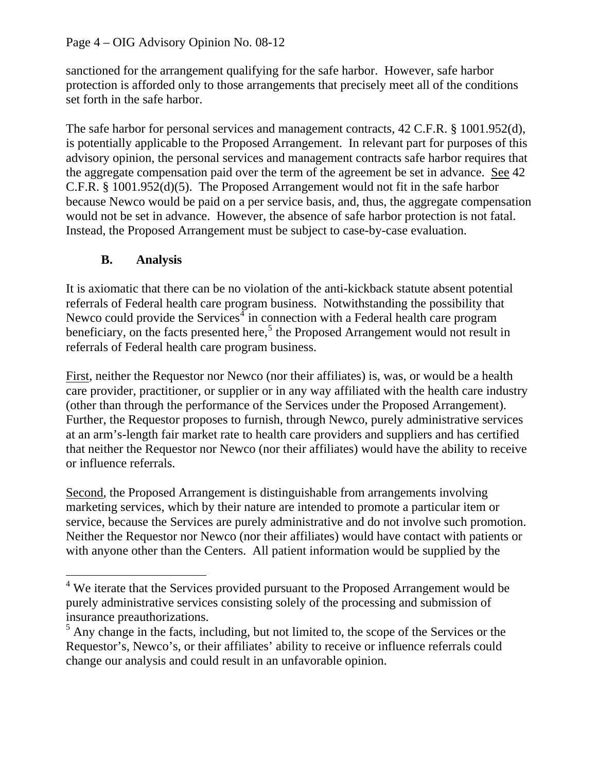#### Page 4 – OIG Advisory Opinion No. 08-12

sanctioned for the arrangement qualifying for the safe harbor. However, safe harbor protection is afforded only to those arrangements that precisely meet all of the conditions set forth in the safe harbor.

The safe harbor for personal services and management contracts, 42 C.F.R. § 1001.952(d), is potentially applicable to the Proposed Arrangement. In relevant part for purposes of this advisory opinion, the personal services and management contracts safe harbor requires that the aggregate compensation paid over the term of the agreement be set in advance. See 42 C.F.R. § 1001.952(d)(5). The Proposed Arrangement would not fit in the safe harbor because Newco would be paid on a per service basis, and, thus, the aggregate compensation would not be set in advance. However, the absence of safe harbor protection is not fatal. Instead, the Proposed Arrangement must be subject to case-by-case evaluation.

### **B. Analysis**

 $\overline{a}$ 

It is axiomatic that there can be no violation of the anti-kickback statute absent potential referrals of Federal health care program business. Notwithstanding the possibility that Newco could provide the Services<sup> $\frac{1}{4}$  $\frac{1}{4}$  $\frac{1}{4}$ </sup> in connection with a Federal health care program beneficiary, on the facts presented here,<sup>[5](#page-3-1)</sup> the Proposed Arrangement would not result in referrals of Federal health care program business.

First, neither the Requestor nor Newco (nor their affiliates) is, was, or would be a health care provider, practitioner, or supplier or in any way affiliated with the health care industry (other than through the performance of the Services under the Proposed Arrangement). Further, the Requestor proposes to furnish, through Newco, purely administrative services at an arm's-length fair market rate to health care providers and suppliers and has certified that neither the Requestor nor Newco (nor their affiliates) would have the ability to receive or influence referrals.

Second, the Proposed Arrangement is distinguishable from arrangements involving marketing services, which by their nature are intended to promote a particular item or service, because the Services are purely administrative and do not involve such promotion. Neither the Requestor nor Newco (nor their affiliates) would have contact with patients or with anyone other than the Centers. All patient information would be supplied by the

<span id="page-3-0"></span> $4$  We iterate that the Services provided pursuant to the Proposed Arrangement would be purely administrative services consisting solely of the processing and submission of insurance preauthorizations.

<span id="page-3-1"></span> $<sup>5</sup>$  Any change in the facts, including, but not limited to, the scope of the Services or the</sup> Requestor's, Newco's, or their affiliates' ability to receive or influence referrals could change our analysis and could result in an unfavorable opinion.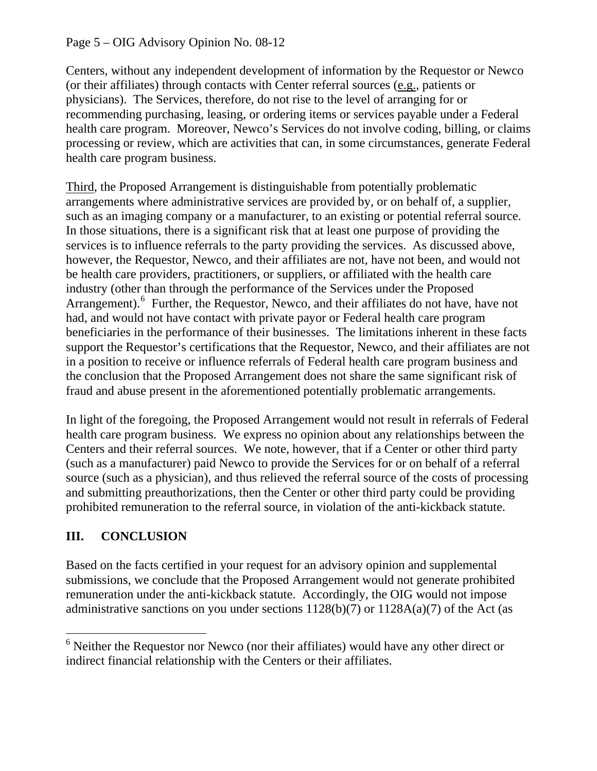#### Page 5 – OIG Advisory Opinion No. 08-12

Centers, without any independent development of information by the Requestor or Newco (or their affiliates) through contacts with Center referral sources (e.g., patients or physicians). The Services, therefore, do not rise to the level of arranging for or recommending purchasing, leasing, or ordering items or services payable under a Federal health care program. Moreover, Newco's Services do not involve coding, billing, or claims processing or review, which are activities that can, in some circumstances, generate Federal health care program business.

Third, the Proposed Arrangement is distinguishable from potentially problematic arrangements where administrative services are provided by, or on behalf of, a supplier, such as an imaging company or a manufacturer, to an existing or potential referral source. In those situations, there is a significant risk that at least one purpose of providing the services is to influence referrals to the party providing the services. As discussed above, however, the Requestor, Newco, and their affiliates are not, have not been, and would not be health care providers, practitioners, or suppliers, or affiliated with the health care industry (other than through the performance of the Services under the Proposed Arrangement).<sup>[6](#page-4-0)</sup> Further, the Requestor, Newco, and their affiliates do not have, have not had, and would not have contact with private payor or Federal health care program beneficiaries in the performance of their businesses. The limitations inherent in these facts support the Requestor's certifications that the Requestor, Newco, and their affiliates are not in a position to receive or influence referrals of Federal health care program business and the conclusion that the Proposed Arrangement does not share the same significant risk of fraud and abuse present in the aforementioned potentially problematic arrangements.

In light of the foregoing, the Proposed Arrangement would not result in referrals of Federal health care program business. We express no opinion about any relationships between the Centers and their referral sources. We note, however, that if a Center or other third party (such as a manufacturer) paid Newco to provide the Services for or on behalf of a referral source (such as a physician), and thus relieved the referral source of the costs of processing and submitting preauthorizations, then the Center or other third party could be providing prohibited remuneration to the referral source, in violation of the anti-kickback statute.

### **III. CONCLUSION**

 $\overline{a}$ 

Based on the facts certified in your request for an advisory opinion and supplemental submissions, we conclude that the Proposed Arrangement would not generate prohibited remuneration under the anti-kickback statute. Accordingly, the OIG would not impose administrative sanctions on you under sections  $1128(b)(7)$  or  $1128A(a)(7)$  of the Act (as

<span id="page-4-0"></span><sup>&</sup>lt;sup>6</sup> Neither the Requestor nor Newco (nor their affiliates) would have any other direct or indirect financial relationship with the Centers or their affiliates.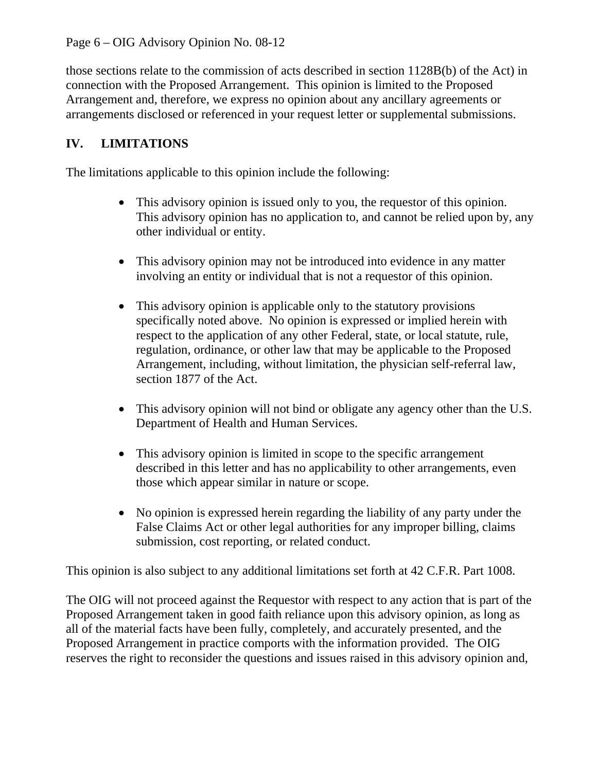Page 6 – OIG Advisory Opinion No. 08-12

those sections relate to the commission of acts described in section 1128B(b) of the Act) in connection with the Proposed Arrangement. This opinion is limited to the Proposed Arrangement and, therefore, we express no opinion about any ancillary agreements or arrangements disclosed or referenced in your request letter or supplemental submissions.

## **IV. LIMITATIONS**

The limitations applicable to this opinion include the following:

- This advisory opinion is issued only to you, the requestor of this opinion. This advisory opinion has no application to, and cannot be relied upon by, any other individual or entity.
- This advisory opinion may not be introduced into evidence in any matter involving an entity or individual that is not a requestor of this opinion.
- This advisory opinion is applicable only to the statutory provisions specifically noted above. No opinion is expressed or implied herein with respect to the application of any other Federal, state, or local statute, rule, regulation, ordinance, or other law that may be applicable to the Proposed Arrangement, including, without limitation, the physician self-referral law, section 1877 of the Act.
- This advisory opinion will not bind or obligate any agency other than the U.S. Department of Health and Human Services.
- This advisory opinion is limited in scope to the specific arrangement described in this letter and has no applicability to other arrangements, even those which appear similar in nature or scope.
- No opinion is expressed herein regarding the liability of any party under the False Claims Act or other legal authorities for any improper billing, claims submission, cost reporting, or related conduct.

This opinion is also subject to any additional limitations set forth at 42 C.F.R. Part 1008.

The OIG will not proceed against the Requestor with respect to any action that is part of the Proposed Arrangement taken in good faith reliance upon this advisory opinion, as long as all of the material facts have been fully, completely, and accurately presented, and the Proposed Arrangement in practice comports with the information provided. The OIG reserves the right to reconsider the questions and issues raised in this advisory opinion and,